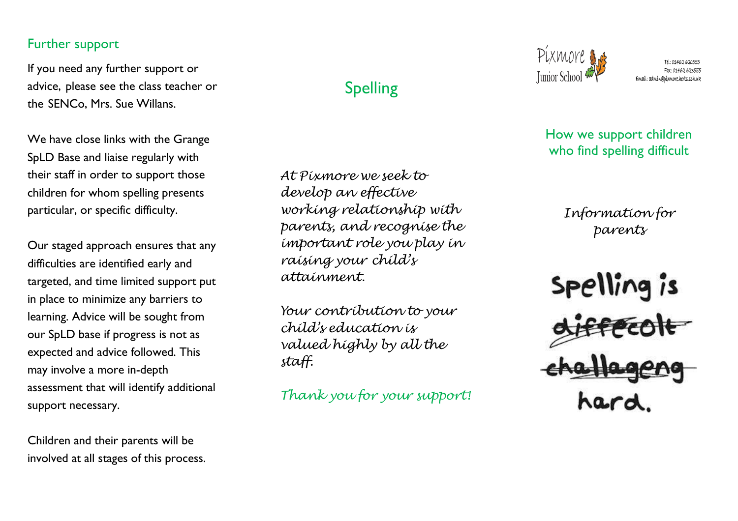## Further support

If you need any further support or advice, please see the class teacher or the SENCo, Mrs. Sue Willans.

We have close links with the Grange SpLD Base and liaise regularly with their staff in order to support those children for whom spelling presents particular, or specific difficulty.

Our staged approach ensures that any difficulties are identified early and targeted, and time limited support put in place to minimize any barriers to learning. Advice will be sought from our SpLD base if progress is not as expected and advice followed. This may involve a more in-depth assessment that will identify additional support necessary.

Children and their parents will be involved at all stages of this process.

## Spelling

*At Pixmore we seek to develop an effective working relationship with parents, and recognise the important role you play in raising your child's attainment.*

*Your contribution to your child's education is valued highly by all the staff.*

*Thank you for your support!*



Tel: 01462 620555 Fax: 01462 623555 Email: admin@pixmore.herts.sch.uk

How we support children who find spelling difficult

> *Information for parents*

Spelling is